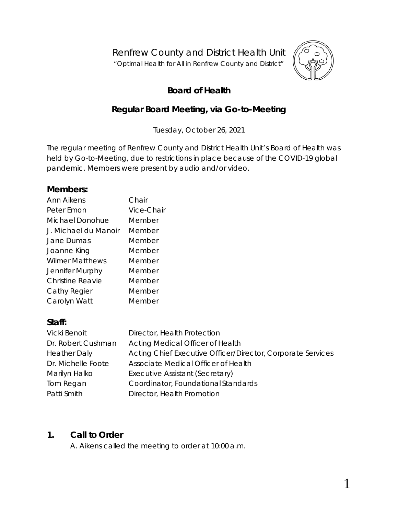Renfrew County and District Health Unit

"*Optimal Health for All in Renfrew County and District"*



1

# **Board of Health**

# **Regular Board Meeting, via** *Go-to-Meeting*

Tuesday, October 26, 2021

The regular meeting of Renfrew County and District Health Unit's Board of Health was held by *Go-to-Meeting,* due to restrictions in place because of the COVID-19 global pandemic. Members were present by audio and/or video.

### **Members:**

| Ann Aikens             | Chair      |
|------------------------|------------|
| Peter Emon             | Vice-Chair |
| Michael Donohue        | Member     |
| J. Michael du Manoir   | Member     |
| Jane Dumas             | Member     |
| Joanne King            | Member     |
| <b>Wilmer Matthews</b> | Member     |
| Jennifer Murphy        | Member     |
| Christine Reavie       | Member     |
| Cathy Regier           | Member     |
| Carolyn Watt           | Member     |

### **Staff:**

| Vicki Benoit        | Director, Health Protection                                 |
|---------------------|-------------------------------------------------------------|
| Dr. Robert Cushman  | Acting Medical Officer of Health                            |
| <b>Heather Daly</b> | Acting Chief Executive Officer/Director, Corporate Services |
| Dr. Michelle Foote  | Associate Medical Officer of Health                         |
| Marilyn Halko       | Executive Assistant (Secretary)                             |
| Tom Regan           | Coordinator, Foundational Standards                         |
| Patti Smith         | Director, Health Promotion                                  |

### **1. Call to Order**

A. Aikens called the meeting to order at 10:00 a.m.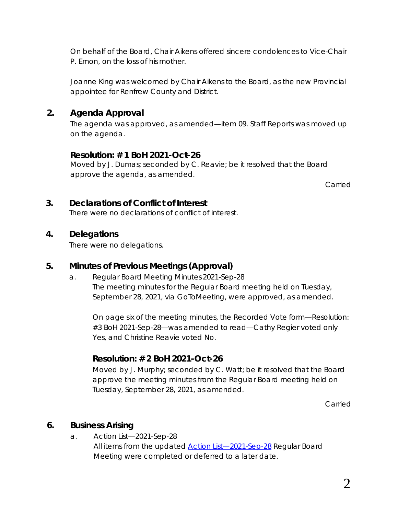On behalf of the Board, Chair Aikens offered sincere condolences to Vice-Chair P. Emon, on the loss of his mother.

Joanne King was welcomed by Chair Aikens to the Board, as the new Provincial appointee for Renfrew County and District.

## **2. Agenda Approval**

The agenda was approved, as amended—item 09. Staff Reports was moved up on the agenda.

### **Resolution: # 1 BoH 2021-Oct-26**

Moved by J. Dumas; seconded by C. Reavie; be it resolved that the Board approve the agenda, as amended.

Carried

### **3. Declarations of Conflict of Interest**

There were no declarations of conflict of interest.

### **4. Delegations**

There were no delegations.

### **5. Minutes of Previous Meetings (Approval)**

a. Regular Board Meeting Minutes 2021-Sep-28 The meeting minutes for the Regular Board meeting held on Tuesday, September 28, 2021, via *GoToMeeting*, were approved, as amended.

On page six of the meeting minutes, the *Recorded Vote* form—*Resolution: #3 BoH 2021-Sep-28*—was amended to read—Cathy Regier voted only Yes, and Christine Reavie voted No.

# **Resolution: # 2 BoH 2021-Oct-26**

Moved by J. Murphy; seconded by C. Watt; be it resolved that the Board approve the meeting minutes from the Regular Board meeting held on Tuesday, September 28, 2021, as amended.

Carried

### **6. Business Arising**

a. Action List—2021-Sep-28 All items from the updated *[Action List—2021-Sep-28](https://www.rcdhu.com/wp-content/uploads/2021/11/06.-a.-Action-List-Regular-Board-Meeting-2021-Sep-28-1.pdf)* Regular Board Meeting were completed or deferred to a later date.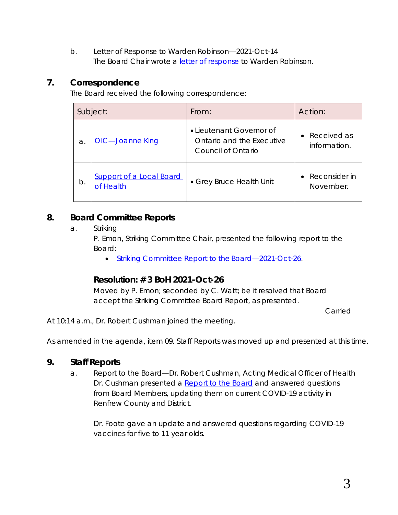b. Letter of Response to Warden Robinson—2021-Oct-14 The Board Chair wrote a *[letter of response](https://www.rcdhu.com/wp-content/uploads/2021/11/06.-b.-Letter-of-Response-to-Warden-Robinson-2021-Oct-14.pdf)* to Warden Robinson.

## **7. Correspondence**

The Board received the following correspondence:

| Subject: |                                              | From:                                                                       | Action:                                 |
|----------|----------------------------------------------|-----------------------------------------------------------------------------|-----------------------------------------|
| a.       | <b>OIC</b> —Joanne King                      | • Lieutenant Governor of<br>Ontario and the Executive<br>Council of Ontario | • Received as<br>information.           |
| b.       | <b>Support of a Local Board</b><br>of Health | • Grey Bruce Health Unit                                                    | Reconsider in<br>$\bullet$<br>November. |

## **8. Board Committee Reports**

a. Striking

P. Emon, Striking Committee Chair, presented the following report to the Board:

• *[Striking Committee Report to the](https://www.rcdhu.com/wp-content/uploads/2021/11/08.-a.-Striking-Committee-Report-to-the-Board-2021-Oct-26.pdf) Board—2021-Oct-26*.

### **Resolution: # 3 BoH 2021-Oct-26**

Moved by P. Emon; seconded by C. Watt; be it resolved that Board accept the Striking Committee Board Report, as presented.

Carried

At 10:14 a.m., Dr. Robert Cushman joined the meeting.

As amended in the agenda, item 09. Staff Reports was moved up and presented at this time.

# **9. Staff Reports**

a. Report to the Board—Dr. Robert Cushman, Acting Medical Officer of Health Dr. Cushman presented a *[Report to the Board](https://www.rcdhu.com/wp-content/uploads/2021/12/09.-a.-Report-to-the-Board-MOHA-2021-Oct-26.pdf)* and answered questions from Board Members, updating them on current COVID-19 activity in Renfrew County and District.

Dr. Foote gave an update and answered questions regarding COVID-19 vaccines for five to 11 year olds.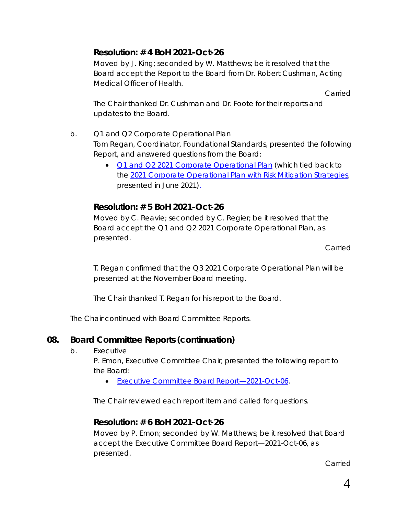# **Resolution: # 4 BoH 2021-Oct-26**

Moved by J. King; seconded by W. Matthews; be it resolved that the Board accept the Report to the Board from Dr. Robert Cushman, Acting Medical Officer of Health.

Carried

The Chair thanked Dr. Cushman and Dr. Foote for their reports and updates to the Board.

- b. Q1 and Q2 Corporate Operational Plan Tom Regan, Coordinator, Foundational Standards, presented the following Report, and answered questions from the Board:
	- *[Q1 and Q2 2021 Corporate Operational Plan](https://www.rcdhu.com/wp-content/uploads/2021/11/09.-b.-Q1-and-Q2-2021-BOH-Report-2021-Corporate-Operational-Plan.pdf)* (which tied back to the *2021 Corporate Operational [Plan with Risk Mitigation Strategies](https://www.rcdhu.com/wp-content/uploads/2021/06/09.-f.-2021-Corporate-Operational-Plan-with-Risk-Mitigation-Strategies.pdf)*, presented in June 2021).

# **Resolution: # 5 BoH 2021-Oct-26**

Moved by C. Reavie; seconded by C. Regier; be it resolved that the Board accept the Q1 and Q2 2021 Corporate Operational Plan, as presented.

Carried

T. Regan confirmed that the Q3 2021 Corporate Operational Plan will be presented at the November Board meeting.

The Chair thanked T. Regan for his report to the Board.

The Chair continued with Board Committee Reports.

# **08. Board Committee Reports (continuation)**

b. Executive

P. Emon, Executive Committee Chair, presented the following report to the Board:

• *[Executive Committee Board](https://www.rcdhu.com/wp-content/uploads/2021/11/08.-b.-Executive-Committee-Board-Report-2021-Oct-26.pdf) Report—2021-Oct-06*.

The Chair reviewed each report item and called for questions.

### **Resolution: # 6 BoH 2021-Oct-26**

Moved by P. Emon; seconded by W. Matthews; be it resolved that Board accept the Executive Committee Board Report—2021-Oct-06, as presented.

Carried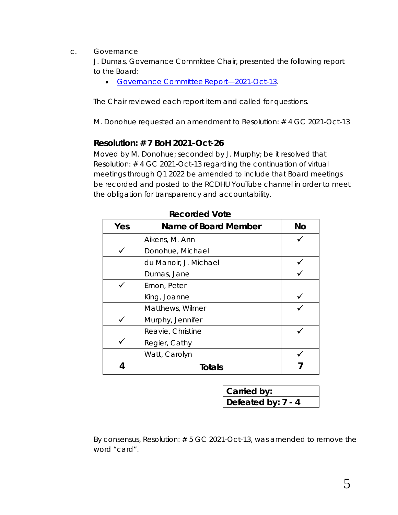c. Governance

J. Dumas, Governance Committee Chair, presented the following report to the Board:

• *[Governance Committee](https://www.rcdhu.com/wp-content/uploads/2021/11/08.-c.-Governance-Committee-Board-Report-2021-Oct-26.pdf) Report—2021-Oct-13*.

The Chair reviewed each report item and called for questions.

M. Donohue requested an amendment to Resolution: # 4 GC 2021-Oct-13

#### **Resolution: # 7 BoH 2021-Oct-26**

Moved by M. Donohue; seconded by J. Murphy; be it resolved that Resolution: # 4 GC 2021-Oct-13 regarding the continuation of virtual meetings through Q1 2022 be amended to include that Board meetings be recorded and posted to the RCDHU YouTube channel in order to meet the obligation for transparency and accountability.

| Yes | <b>Name of Board Member</b> | <b>No</b> |
|-----|-----------------------------|-----------|
|     | Aikens, M. Ann              |           |
|     | Donohue, Michael            |           |
|     | du Manoir, J. Michael       |           |
|     | Dumas, Jane                 |           |
|     | Emon, Peter                 |           |
|     | King, Joanne                |           |
|     | Matthews, Wilmer            |           |
|     | Murphy, Jennifer            |           |
|     | Reavie, Christine           |           |
|     | Regier, Cathy               |           |
|     | Watt, Carolyn               |           |
|     | Totals                      |           |

**Recorded Vote**

| Carried by:        |
|--------------------|
| Defeated by: 7 - 4 |

By consensus, *Resolution: # 5 GC 2021-Oct-13,* was amended to remove the word *"card".*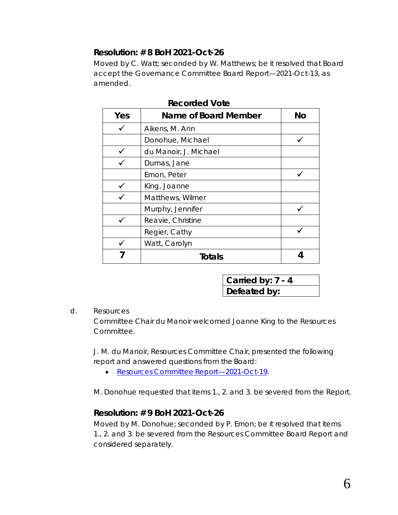## **Resolution: # 8 BoH 2021-Oct-26**

Moved by C. Watt; seconded by W. Matthews; be it resolved that Board accept the Governance Committee Board Report—2021-Oct-13, as amended.

| Yes | Name of Board Member  | <b>No</b> |
|-----|-----------------------|-----------|
|     | Aikens, M. Ann        |           |
|     | Donohue, Michael      |           |
|     | du Manoir, J. Michael |           |
|     | Dumas, Jane           |           |
|     | Emon, Peter           |           |
|     | King, Joanne          |           |
|     | Matthews, Wilmer      |           |
|     | Murphy, Jennifer      |           |
|     | Reavie, Christine     |           |
|     | Regier, Cathy         |           |
|     | Watt, Carolyn         |           |
|     | Totals                |           |

#### **Recorded Vote**

| Carried by: 7 - 4 |  |
|-------------------|--|
| Defeated by:      |  |

#### d. Resources

Committee Chair du Manoir welcomed Joanne King to the Resources Committee.

J. M. du Manoir, Resources Committee Chair, presented the following report and answered questions from the Board:

• *[Resources Committee](https://www.rcdhu.com/wp-content/uploads/2021/11/08.-c.-Resources-Committee-Board-Report-2021-Oct-26.pdf) Report—2021-Oct-19*.

M. Donohue requested that items 1., 2. and 3. be severed from the Report.

### **Resolution: # 9 BoH 2021-Oct-26**

Moved by M. Donohue; seconded by P. Emon; be it resolved that items 1., 2. and 3. be severed from the Resources Committee Board Report and considered separately.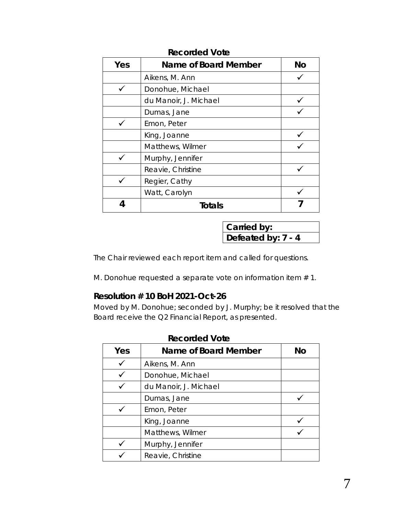| Yes | Name of Board Member  | <b>No</b> |
|-----|-----------------------|-----------|
|     | Aikens, M. Ann        |           |
|     | Donohue, Michael      |           |
|     | du Manoir, J. Michael |           |
|     | Dumas, Jane           |           |
|     | Emon, Peter           |           |
|     | King, Joanne          |           |
|     | Matthews, Wilmer      |           |
|     | Murphy, Jennifer      |           |
|     | Reavie, Christine     |           |
|     | Regier, Cathy         |           |
|     | Watt, Carolyn         |           |
| 4   | <b>Totals</b>         |           |

#### **Recorded Vote**

| Carried by:        |  |
|--------------------|--|
| Defeated by: 7 - 4 |  |

The Chair reviewed each report item and called for questions.

M. Donohue requested a separate vote on information item # 1.

#### **Resolution # 10 BoH 2021-Oct-26**

Moved by M. Donohue; seconded by J. Murphy; be it resolved that the Board receive the Q2 Financial Report, as presented.

| Yes | Name of Board Member  | No |
|-----|-----------------------|----|
|     | Aikens, M. Ann        |    |
|     | Donohue, Michael      |    |
|     | du Manoir, J. Michael |    |
|     | Dumas, Jane           |    |
|     | Emon, Peter           |    |
|     | King, Joanne          |    |
|     | Matthews, Wilmer      |    |
|     | Murphy, Jennifer      |    |
|     | Reavie, Christine     |    |

## **Recorded Vote**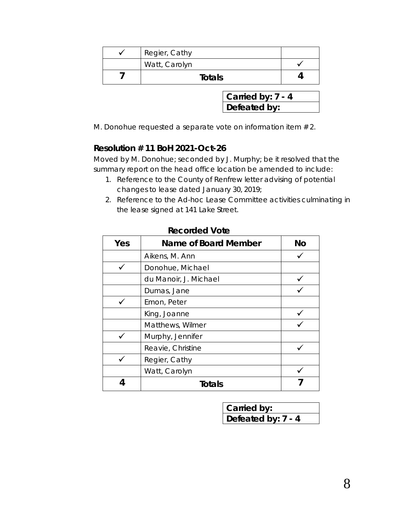| Regier, Cathy |  |
|---------------|--|
| Watt, Carolyn |  |
| <b>Totals</b> |  |

**Carried by: 7 - 4 Defeated by:**

M. Donohue requested a separate vote on information item # 2.

### **Resolution # 11 BoH 2021-Oct-26**

Moved by M. Donohue; seconded by J. Murphy; be it resolved that the summary report on the head office location be amended to include:

- 1. Reference to the County of Renfrew letter advising of potential changes to lease dated January 30, 2019;
- 2. Reference to the Ad-hoc Lease Committee activities culminating in the lease signed at 141 Lake Street.

| Yes | Name of Board Member  | <b>No</b> |
|-----|-----------------------|-----------|
|     | Aikens, M. Ann        |           |
|     | Donohue, Michael      |           |
|     | du Manoir, J. Michael |           |
|     | Dumas, Jane           |           |
|     | Emon, Peter           |           |
|     | King, Joanne          |           |
|     | Matthews, Wilmer      |           |
|     | Murphy, Jennifer      |           |
|     | Reavie, Christine     |           |
|     | Regier, Cathy         |           |
|     | Watt, Carolyn         |           |
|     | Totals                |           |

#### **Recorded Vote**

| Carried by:        |
|--------------------|
| Defeated by: 7 - 4 |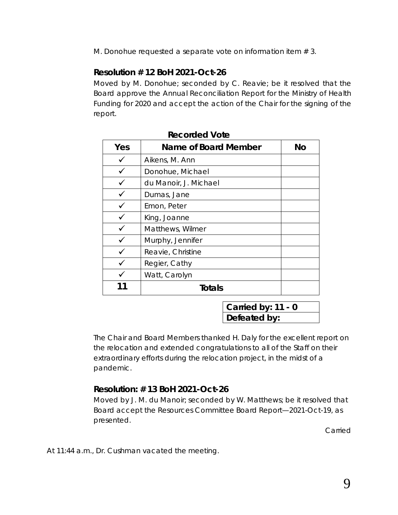M. Donohue requested a separate vote on information item #3.

# **Resolution # 12 BoH 2021-Oct-26**

Moved by M. Donohue; seconded by C. Reavie; be it resolved that the Board approve the Annual Reconciliation Report for the Ministry of Health Funding for 2020 and accept the action of the Chair for the signing of the report.

| Yes | Name of Board Member  | <b>No</b> |
|-----|-----------------------|-----------|
|     | Aikens, M. Ann        |           |
|     | Donohue, Michael      |           |
|     | du Manoir, J. Michael |           |
|     | Dumas, Jane           |           |
|     | Emon, Peter           |           |
|     | King, Joanne          |           |
|     | Matthews, Wilmer      |           |
|     | Murphy, Jennifer      |           |
|     | Reavie, Christine     |           |
|     | Regier, Cathy         |           |
|     | Watt, Carolyn         |           |
|     | Totals                |           |

#### **Recorded Vote**

**Carried by: 11 - 0 Defeated by:**

The Chair and Board Members thanked H. Daly for the excellent report on the relocation and extended congratulations to all of the Staff on their extraordinary efforts during the relocation project, in the midst of a pandemic.

# **Resolution: # 13 BoH 2021-Oct-26**

Moved by J. M. du Manoir; seconded by W. Matthews; be it resolved that Board accept the Resources Committee Board Report—2021-Oct-19, as presented.

Carried

At 11:44 a.m., Dr. Cushman vacated the meeting.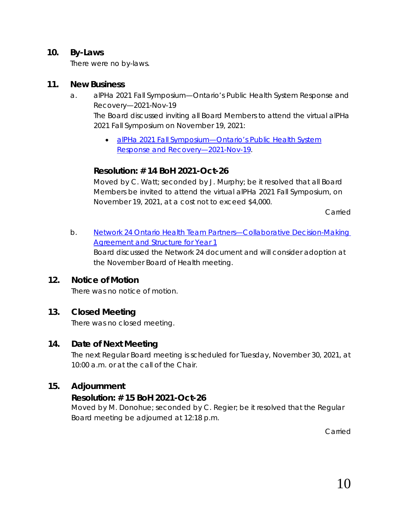### **10. By-Laws**

There were no by-laws.

#### **11. New Business**

- a. alPHa 2021 Fall Symposium—Ontario's Public Health System Response and Recovery—2021-Nov-19 The Board discussed inviting all Board Members to attend the virtual alPHa 2021 Fall Symposium on November 19, 2021:
	- *[alPHa 2021 Fall Symposium—Ontario's Public Health System](https://www.rcdhu.com/wp-content/uploads/2021/11/11.-a.-Fall-2021-Symposium-Ontarios-Public-Health-System-Response-and-Recovery%E2%80%942021-Nov-19.pdf)  [Response and Recovery—2021-Nov-19](https://www.rcdhu.com/wp-content/uploads/2021/11/11.-a.-Fall-2021-Symposium-Ontarios-Public-Health-System-Response-and-Recovery%E2%80%942021-Nov-19.pdf)*.

## **Resolution: # 14 BoH 2021-Oct-26**

Moved by C. Watt; seconded by J. Murphy; be it resolved that all Board Members be invited to attend the virtual alPHa 2021 Fall Symposium, on November 19, 2021, at a cost not to exceed \$4,000.

Carried

*b. [Network 24 Ontario Health Team Partners—Collaborative Decision-Making](https://www.rcdhu.com/wp-content/uploads/2021/11/11.-b.-Network-24-Ontario-Health-Team-Partners-Collaborative-Decision-Making-Agreement-and-Structure-for-Year-1.pdf)  [Agreement and Structure for Year 1](https://www.rcdhu.com/wp-content/uploads/2021/11/11.-b.-Network-24-Ontario-Health-Team-Partners-Collaborative-Decision-Making-Agreement-and-Structure-for-Year-1.pdf)*

Board discussed the Network 24 document and will consider adoption at the November Board of Health meeting.

### **12. Notice of Motion**

There was no notice of motion.

### **13. Closed Meeting**

There was no closed meeting.

### **14. Date of Next Meeting**

The next Regular Board meeting is scheduled for Tuesday, November 30, 2021, at 10:00 a.m. or at the call of the Chair.

### **15. Adjournment**

### **Resolution: # 15 BoH 2021-Oct-26**

Moved by M. Donohue; seconded by C. Regier; be it resolved that the Regular Board meeting be adjourned at 12:18 p.m.

Carried